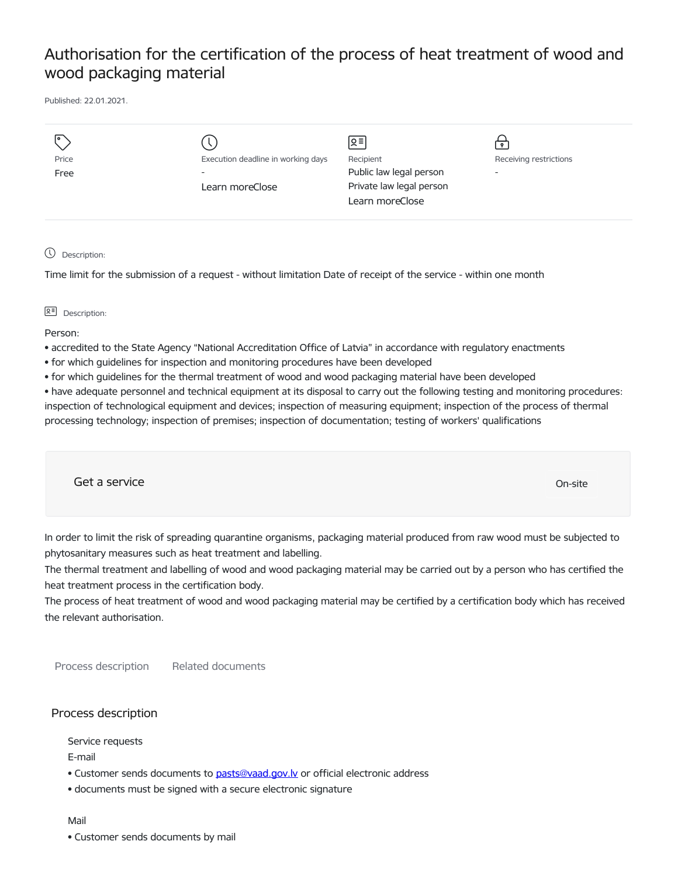## Authorisation for the certification of the process of heat treatment of wood and wood packaging material

Published: 22.01.2021.

|       |                                    | 의                        |                          |
|-------|------------------------------------|--------------------------|--------------------------|
| Price | Execution deadline in working days | Recipient                | Receiving restrictions   |
| Free  | $\overline{\phantom{0}}$           | Public law legal person  | $\overline{\phantom{a}}$ |
|       | Learn moreClose                    | Private law legal person |                          |
|       |                                    | Learn moreClose          |                          |
|       |                                    |                          |                          |

Description:

Time limit for the submission of a request - without limitation Date of receipt of the service - within one month

## **오** Description:

Person:

- accredited to the State Agency "National Accreditation Office of Latvia" in accordance with regulatory enactments
- for which guidelines for inspection and monitoring procedures have been developed
- for which guidelines for the thermal treatment of wood and wood packaging material have been developed

• have adequate personnel and technical equipment at its disposal to carry out the following testing and monitoring procedures: inspection of technological equipment and devices; inspection of measuring equipment; inspection of the process of thermal processing technology; inspection of premises; inspection of documentation; testing of workers' qualifications

Get a service on the contract of the contract of the contract of the contract of the contract of the contract of the contract of the contract of the contract of the contract of the contract of the contract of the contract

In order to limit the risk of spreading quarantine organisms, packaging material produced from raw wood must be subjected to phytosanitary measures such as heat treatment and labelling.

The thermal treatment and labelling of wood and wood packaging material may be carried out by a person who has certified the heat treatment process in the certification body.

The process of heat treatment of wood and wood packaging material may be certified by a certification body which has received the relevant authorisation.

Process description Related documents

## Process description

Service requests

E-mail

- Customer sends documents to pasts@vaad.gov.ly or official electronic address
- documents must be signed with a secure electronic signature

Mail

• Customer sends documents by mail